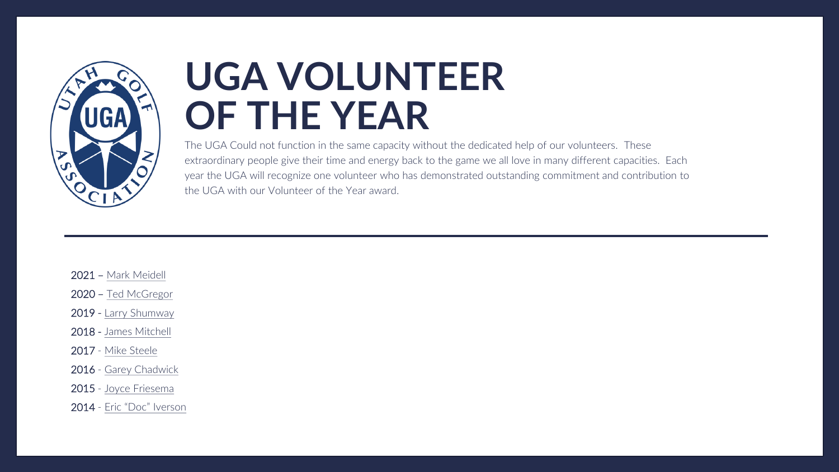

# **UGA VOLUNTEER OF THE YEAR**

The UGA Could not function in the same capacity without the dedicated help of our volunteers. These extraordinary people give their time and energy back to the game we all love in many different capacities. Each year the UGA will recognize one volunteer who has demonstrated outstanding commitment and contribution to the UGA with our Volunteer of the Year award.

- 2021 [Mark Meidell](#page-1-0)
- 2020 [Ted McGregor](#page-2-0)
- 2019 [Larry Shumway](#page-3-0)
- 2018 [James Mitchell](#page-4-0)
- 2017 [Mike Steele](#page-5-0)
- 2016 [Garey Chadwick](#page-6-0)
- 2015 [Joyce Friesema](#page-7-0)
- 2014 [Eric "Doc" Iverson](#page-8-0)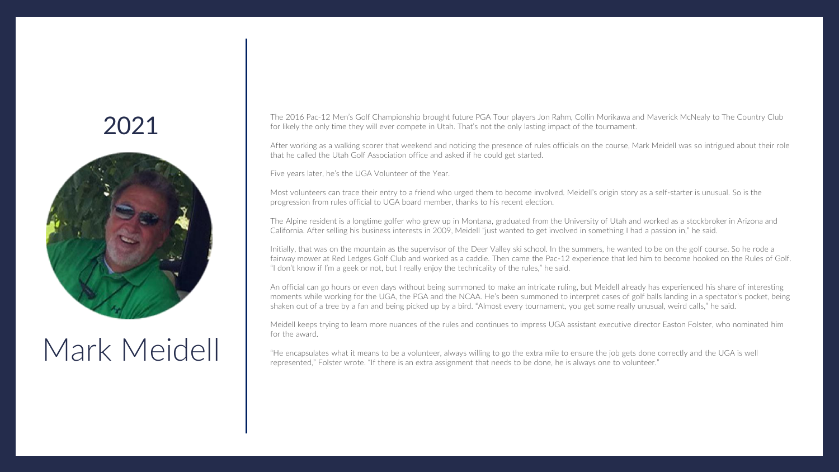<span id="page-1-0"></span>

# Mark Meidell

The 2016 Pac-12 Men's Golf Championship brought future PGA Tour players Jon Rahm, Collin Morikawa and Maverick McNealy to The Country Club for likely the only time they will ever compete in Utah. That's not the only lasting impact of the tournament.

After working as a walking scorer that weekend and noticing the presence of rules officials on the course, Mark Meidell was so intrigued about their role that he called the Utah Golf Association office and asked if he could get started.

Five years later, he's the UGA Volunteer of the Year.

Most volunteers can trace their entry to a friend who urged them to become involved. Meidell's origin story as a self-starter is unusual. So is the progression from rules official to UGA board member, thanks to his recent election.

The Alpine resident is a longtime golfer who grew up in Montana, graduated from the University of Utah and worked as a stockbroker in Arizona and California. After selling his business interests in 2009, Meidell "just wanted to get involved in something I had a passion in," he said.

Initially, that was on the mountain as the supervisor of the Deer Valley ski school. In the summers, he wanted to be on the golf course. So he rode a fairway mower at Red Ledges Golf Club and worked as a caddie. Then came the Pac-12 experience that led him to become hooked on the Rules of Golf. "I don't know if I'm a geek or not, but I really enjoy the technicality of the rules," he said.

An official can go hours or even days without being summoned to make an intricate ruling, but Meidell already has experienced his share of interesting moments while working for the UGA, the PGA and the NCAA. He's been summoned to interpret cases of golf balls landing in a spectator's pocket, being shaken out of a tree by a fan and being picked up by a bird. "Almost every tournament, you get some really unusual, weird calls," he said.

Meidell keeps trying to learn more nuances of the rules and continues to impress UGA assistant executive director Easton Folster, who nominated him for the award.

"He encapsulates what it means to be a volunteer, always willing to go the extra mile to ensure the job gets done correctly and the UGA is well represented," Folster wrote. "If there is an extra assignment that needs to be done, he is always one to volunteer."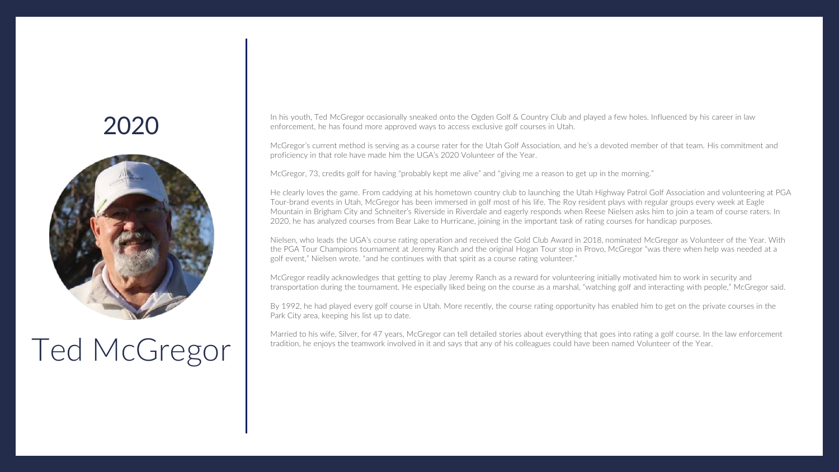<span id="page-2-0"></span>

# Ted McGregor

In his youth, Ted McGregor occasionally sneaked onto the Ogden Golf & Country Club and played a few holes. Influenced by his career in law enforcement, he has found more approved ways to access exclusive golf courses in Utah.

McGregor's current method is serving as a course rater for the Utah Golf Association, and he's a devoted member of that team. His commitment and proficiency in that role have made him the UGA's 2020 Volunteer of the Year.

McGregor, 73, credits golf for having "probably kept me alive" and "giving me a reason to get up in the morning."

He clearly loves the game. From caddying at his hometown country club to launching the Utah Highway Patrol Golf Association and volunteering at PGA Tour-brand events in Utah, McGregor has been immersed in golf most of his life. The Roy resident plays with regular groups every week at Eagle Mountain in Brigham City and Schneiter's Riverside in Riverdale and eagerly responds when Reese Nielsen asks him to join a team of course raters. In 2020, he has analyzed courses from Bear Lake to Hurricane, joining in the important task of rating courses for handicap purposes.

Nielsen, who leads the UGA's course rating operation and received the Gold Club Award in 2018, nominated McGregor as Volunteer of the Year. With the PGA Tour Champions tournament at Jeremy Ranch and the original Hogan Tour stop in Provo, McGregor "was there when help was needed at a golf event," Nielsen wrote. "and he continues with that spirit as a course rating volunteer."

McGregor readily acknowledges that getting to play Jeremy Ranch as a reward for volunteering initially motivated him to work in security and transportation during the tournament. He especially liked being on the course as a marshal, "watching golf and interacting with people," McGregor said.

By 1992, he had played every golf course in Utah. More recently, the course rating opportunity has enabled him to get on the private courses in the Park City area, keeping his list up to date.

Married to his wife, Silver, for 47 years, McGregor can tell detailed stories about everything that goes into rating a golf course. In the law enforcement tradition, he enjoys the teamwork involved in it and says that any of his colleagues could have been named Volunteer of the Year.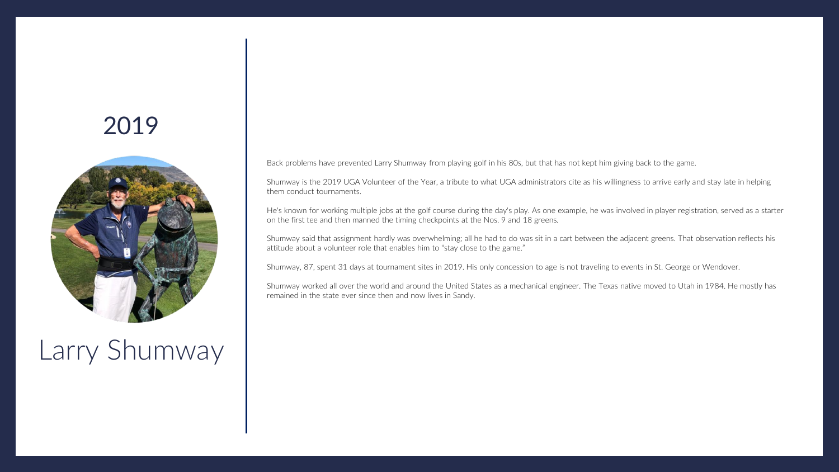<span id="page-3-0"></span>

Larry Shumway

Back problems have prevented Larry Shumway from playing golf in his 80s, but that has not kept him giving back to the game.

Shumway is the 2019 UGA Volunteer of the Year, a tribute to what UGA administrators cite as his willingness to arrive early and stay late in helping them conduct tournaments.

He's known for working multiple jobs at the golf course during the day's play. As one example, he was involved in player registration, served as a starter on the first tee and then manned the timing checkpoints at the Nos. 9 and 18 greens.

Shumway said that assignment hardly was overwhelming; all he had to do was sit in a cart between the adjacent greens. That observation reflects his attitude about a volunteer role that enables him to "stay close to the game."

Shumway, 87, spent 31 days at tournament sites in 2019. His only concession to age is not traveling to events in St. George or Wendover.

Shumway worked all over the world and around the United States as a mechanical engineer. The Texas native moved to Utah in 1984. He mostly has remained in the state ever since then and now lives in Sandy.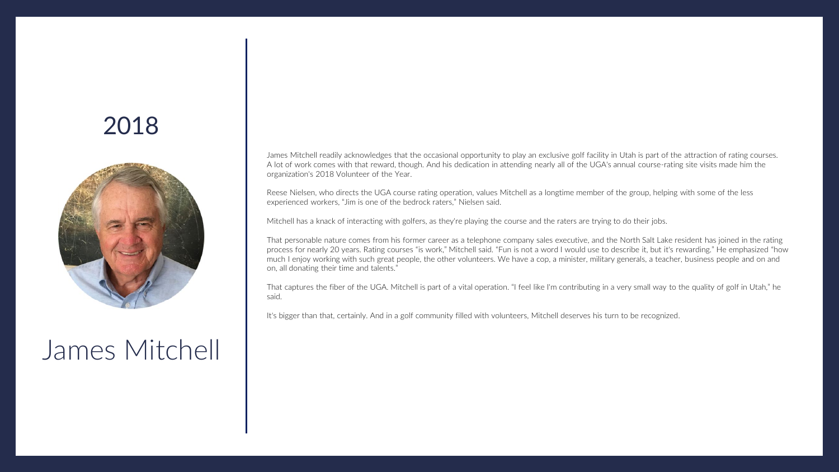<span id="page-4-0"></span>

#### James Mitchell

James Mitchell readily acknowledges that the occasional opportunity to play an exclusive golf facility in Utah is part of the attraction of rating courses. A lot of work comes with that reward, though. And his dedication in attending nearly all of the UGA's annual course-rating site visits made him the organization's 2018 Volunteer of the Year.

Reese Nielsen, who directs the UGA course rating operation, values Mitchell as a longtime member of the group, helping with some of the less experienced workers, "Jim is one of the bedrock raters," Nielsen said.

Mitchell has a knack of interacting with golfers, as they're playing the course and the raters are trying to do their jobs.

That personable nature comes from his former career as a telephone company sales executive, and the North Salt Lake resident has joined in the rating process for nearly 20 years. Rating courses "is work," Mitchell said. "Fun is not a word I would use to describe it, but it's rewarding." He emphasized "how much I enjoy working with such great people, the other volunteers. We have a cop, a minister, military generals, a teacher, business people and on and on, all donating their time and talents."

That captures the fiber of the UGA. Mitchell is part of a vital operation. "I feel like I'm contributing in a very small way to the quality of golf in Utah," he said.

It's bigger than that, certainly. And in a golf community filled with volunteers, Mitchell deserves his turn to be recognized.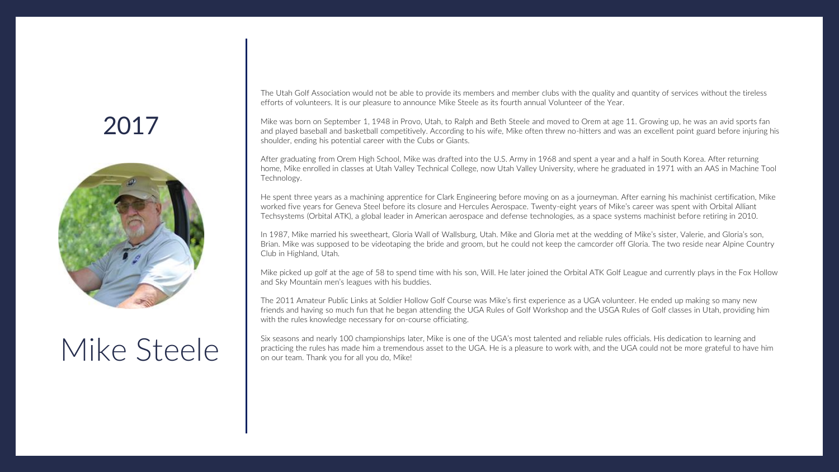<span id="page-5-0"></span>

# Mike Steele

The Utah Golf Association would not be able to provide its members and member clubs with the quality and quantity of services without the tireless efforts of volunteers. It is our pleasure to announce Mike Steele as its fourth annual Volunteer of the Year.

Mike was born on September 1, 1948 in Provo, Utah, to Ralph and Beth Steele and moved to Orem at age 11. Growing up, he was an avid sports fan and played baseball and basketball competitively. According to his wife, Mike often threw no-hitters and was an excellent point guard before injuring his shoulder, ending his potential career with the Cubs or Giants.

After graduating from Orem High School, Mike was drafted into the U.S. Army in 1968 and spent a year and a half in South Korea. After returning home, Mike enrolled in classes at Utah Valley Technical College, now Utah Valley University, where he graduated in 1971 with an AAS in Machine Tool Technology.

He spent three years as a machining apprentice for Clark Engineering before moving on as a journeyman. After earning his machinist certification, Mike worked five years for Geneva Steel before its closure and Hercules Aerospace. Twenty-eight years of Mike's career was spent with Orbital Alliant Techsystems (Orbital ATK), a global leader in American aerospace and defense technologies, as a space systems machinist before retiring in 2010.

In 1987, Mike married his sweetheart, Gloria Wall of Wallsburg, Utah. Mike and Gloria met at the wedding of Mike's sister, Valerie, and Gloria's son, Brian. Mike was supposed to be videotaping the bride and groom, but he could not keep the camcorder off Gloria. The two reside near Alpine Country Club in Highland, Utah.

Mike picked up golf at the age of 58 to spend time with his son, Will. He later joined the Orbital ATK Golf League and currently plays in the Fox Hollow and Sky Mountain men's leagues with his buddies.

The 2011 Amateur Public Links at Soldier Hollow Golf Course was Mike's first experience as a UGA volunteer. He ended up making so many new friends and having so much fun that he began attending the UGA Rules of Golf Workshop and the USGA Rules of Golf classes in Utah, providing him with the rules knowledge necessary for on-course officiating.

Six seasons and nearly 100 championships later, Mike is one of the UGA's most talented and reliable rules officials. His dedication to learning and practicing the rules has made him a tremendous asset to the UGA. He is a pleasure to work with, and the UGA could not be more grateful to have him on our team. Thank you for all you do, Mike!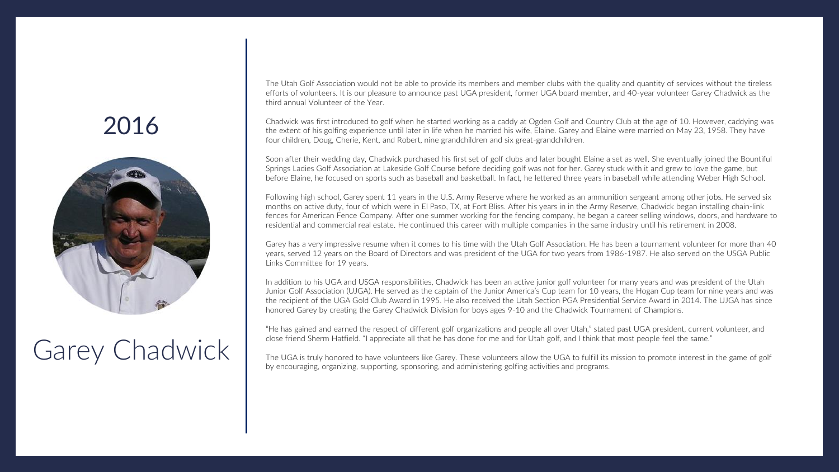<span id="page-6-0"></span>

## Garey Chadwick

The Utah Golf Association would not be able to provide its members and member clubs with the quality and quantity of services without the tireless efforts of volunteers. It is our pleasure to announce past UGA president, former UGA board member, and 40-year volunteer Garey Chadwick as the third annual Volunteer of the Year.

Chadwick was first introduced to golf when he started working as a caddy at Ogden Golf and Country Club at the age of 10. However, caddying was the extent of his golfing experience until later in life when he married his wife, Elaine. Garey and Elaine were married on May 23, 1958. They have four children, Doug, Cherie, Kent, and Robert, nine grandchildren and six great-grandchildren.

Soon after their wedding day, Chadwick purchased his first set of golf clubs and later bought Elaine a set as well. She eventually joined the Bountiful Springs Ladies Golf Association at Lakeside Golf Course before deciding golf was not for her. Garey stuck with it and grew to love the game, but before Elaine, he focused on sports such as baseball and basketball. In fact, he lettered three years in baseball while attending Weber High School.

Following high school, Garey spent 11 years in the U.S. Army Reserve where he worked as an ammunition sergeant among other jobs. He served six months on active duty, four of which were in El Paso, TX, at Fort Bliss. After his years in in the Army Reserve, Chadwick began installing chain-link fences for American Fence Company. After one summer working for the fencing company, he began a career selling windows, doors, and hardware to residential and commercial real estate. He continued this career with multiple companies in the same industry until his retirement in 2008.

Garey has a very impressive resume when it comes to his time with the Utah Golf Association. He has been a tournament volunteer for more than 40 years, served 12 years on the Board of Directors and was president of the UGA for two years from 1986-1987. He also served on the USGA Public Links Committee for 19 years.

In addition to his UGA and USGA responsibilities, Chadwick has been an active junior golf volunteer for many years and was president of the Utah Junior Golf Association (UJGA). He served as the captain of the Junior America's Cup team for 10 years, the Hogan Cup team for nine years and was the recipient of the UGA Gold Club Award in 1995. He also received the Utah Section PGA Presidential Service Award in 2014. The UJGA has since honored Garey by creating the Garey Chadwick Division for boys ages 9-10 and the Chadwick Tournament of Champions.

"He has gained and earned the respect of different golf organizations and people all over Utah," stated past UGA president, current volunteer, and close friend Sherm Hatfield. "I appreciate all that he has done for me and for Utah golf, and I think that most people feel the same."

The UGA is truly honored to have volunteers like Garey. These volunteers allow the UGA to fulfill its mission to promote interest in the game of golf by encouraging, organizing, supporting, sponsoring, and administering golfing activities and programs.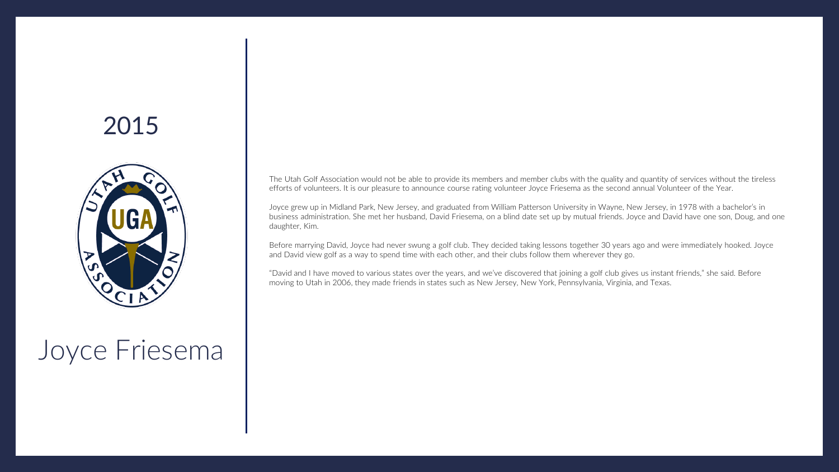<span id="page-7-0"></span>

# Joyce Friesema

The Utah Golf Association would not be able to provide its members and member clubs with the quality and quantity of services without the tireless efforts of volunteers. It is our pleasure to announce course rating volunteer Joyce Friesema as the second annual Volunteer of the Year.

Joyce grew up in Midland Park, New Jersey, and graduated from William Patterson University in Wayne, New Jersey, in 1978 with a bachelor's in business administration. She met her husband, David Friesema, on a blind date set up by mutual friends. Joyce and David have one son, Doug, and one daughter, Kim.

Before marrying David, Joyce had never swung a golf club. They decided taking lessons together 30 years ago and were immediately hooked. Joyce and David view golf as a way to spend time with each other, and their clubs follow them wherever they go.

"David and I have moved to various states over the years, and we've discovered that joining a golf club gives us instant friends," she said. Before moving to Utah in 2006, they made friends in states such as New Jersey, New York, Pennsylvania, Virginia, and Texas.